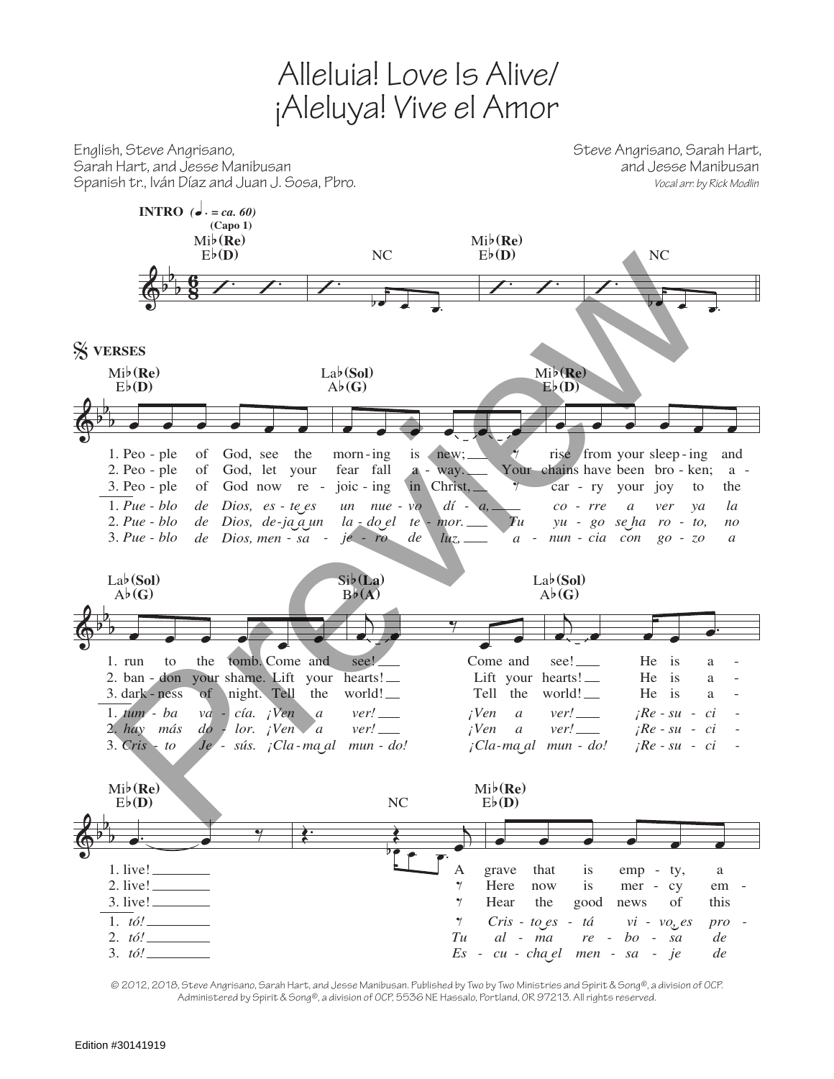## Alleluia! Love Is Alive/ ¡Aleluya! Vive el Amor

English, Steve Angrisano, Steve Angrisano, Sarah Hart,

 $\overline{\mathbb{Q}}^{\flat}$ b b 8  $\frac{6}{8}$  /  $\cdot$  /  $\cdot$ **INTRO**  $\overrightarrow{a}$  *= ca.* 60) **(Capo 1)** Eb**(D)** Mib**(Re)**  $\overline{ \ }$  $\overline{b}$   $\overline{c}$   $\overline{c}$   $\overline{c}$   $\overline{c}$   $\overline{c}$   $\overline{c}$   $\overline{c}$   $\overline{c}$   $\overline{c}$   $\overline{c}$   $\overline{c}$   $\overline{c}$   $\overline{c}$   $\overline{c}$   $\overline{c}$   $\overline{c}$   $\overline{c}$   $\overline{c}$   $\overline{c}$   $\overline{c}$   $\overline{c}$   $\overline{c}$   $\overline{c}$   $\overline{$ NC  $\overline{\mathcal{L}}$ Eb**(D)** Mib**(Re)**  $\overline{\phantom{a}}$  $\overline{\phantom{a}}$ NC  $\overline{\mathbb{Q}}$ b  $\overrightarrow{b}$   $\overrightarrow{c}$   $\overrightarrow{c}$   $\overrightarrow{c}$   $\overrightarrow{c}$ *Pue* 1. *blo Pue* 2. *blo Pue* 3. *blo* 1. Peo - ple  $2. Peo - ple$ 3. Peo - ple *de de de* of of of *blo de Dios*, *es - te*<sub>*es*</sub> an *nue - vo di blo de Dios*, *de-ja a un* la - *do el te a de Dios, men* - *sa* - *je* - *ro de de luz,* **\_** *a* **-** *nun* **-** *cia**con**go* **-**God, see God, let - ple of God now re the your re % **VERSES** Eb**(D)** Mib**(Re)**  $\bullet$   $\bullet$   $\bullet$   $\bullet$   $\bullet$   $\bullet$ *un la do el je ro* morn-ing fear fall joic - ing *nue vo te de* is a in *dí mor. luz,* new; way. Christ, *a, a Tu* Your chains have been bro - ken; a -‰ ‰ Ab**(G)** Lab(Sol) œ œ œ œ œ œ *nun cia con yu* - *go se ha ro* - *to*, *co* car rise from your sleep-ing *rre* ry *a* your *go zo ver* joy *ya* to *a no la* and a the Eb**(D)** Mib**(Re)** - *-*  $\overline{\mathbb{P}}$ b b œ œ œ œ œ *Cris* 3. *hay* 2. *tum* 1. *ba* 1. run  $2.$  ban - don 3. dark - ness *to más* to *Je do va* the your shame. Lift your of *sús. ¡Cla ma al a* ver! *i*Ven a ver! *i*Ven a ver! *iRe* - su - ci *r va - cía. i*Ven *a ver! <i>i*Ven *a ver! <i>i*Re - *su - ci* tomb. Come and night. Tell *a a* the Ab**(G)** Lab(Sol) j e. ‰  $\overline{\cdot}$ *mun ver! ver!* see! hearts! world! *do! ¡Cla ma al mun - - - - - - - - - ¡Ven ¡Ven* Come and Lift your hearts! Tell the *a a* Bb**(A)** Sib**(La)**  $\overline{\mathsf{A}}$ œ œ œ œ œ. *ver! ver!* see! world! *do! ¡Re su ci ¡Re su ¡Re su* He He He is is is *ci ci* a a a  $Ab(G)$ Lab(Sol) - - -  $\overline{\mathbb{Q}}$ b  $\frac{1}{2}$   $\frac{1}{2}$   $\frac{1}{2}$   $\frac{1}{2}$   $\frac{1}{2}$   $\frac{1}{2}$   $\frac{1}{2}$   $\frac{1}{2}$   $\frac{1}{2}$   $\frac{1}{2}$   $\frac{1}{2}$   $\frac{1}{2}$   $\frac{1}{2}$   $\frac{1}{2}$   $\frac{1}{2}$   $\frac{1}{2}$   $\frac{1}{2}$   $\frac{1}{2}$   $\frac{1}{2}$   $\frac{1}{2}$   $\frac{1}{2}$   $\frac{1}{2}$  *tó!* 3. *tó!* 2. *tó!* 1. live! 1. 2. live! 3. live! Eb**(D)** Mib**(Re)**  $\mathcal{L}$ œ *Es Tu*  $\gamma$ A  $\gamma$  $\gamma$  $\overline{\mathcal{C} \cap \mathcal{C}}$ NC œ œ œ œ œ œ *cu cha el men - - - al Cris to es* grave **Here** Hear *r na re - bo* that now the *re tá* is is good *sa je bo vi vo, es pro - - vo, es pro* emp - ty, mer news *sa* cy of *de de pro* a  $- cy$  em  $$ this Eb**(D)** Mib**(Re)** Sarah Hart, and Jesse Manibusan and Jesse Manibusan Spanish tr., Iván Díaz and Juan J. Sosa, Pbro. *Vocal arr. by Rick Modlin* EVENTLY AND REVIEW AND CONTRACT CONTRACT CONTRACT CONTRACT CONTRACT CONTRACT CONTRACT CONTRACT CONTRACT CONTRACT CONTRACT CONTRACT CONTRACT CONTRACT CONTRACT CONTRACT CONTRACT CONTRACT CONTRACT CONTRACT CONTRACT CONTRACT

© 2012, 2018, Steve Angrisano, Sarah Hart, and Jesse Manibusan. Published by Two by Two Ministries and Spirit & Song®, a division of OCP. Administered by Spirit & Song®, a division of OCP, 5536 NE Hassalo, Portland, OR 97213. All rights reserved.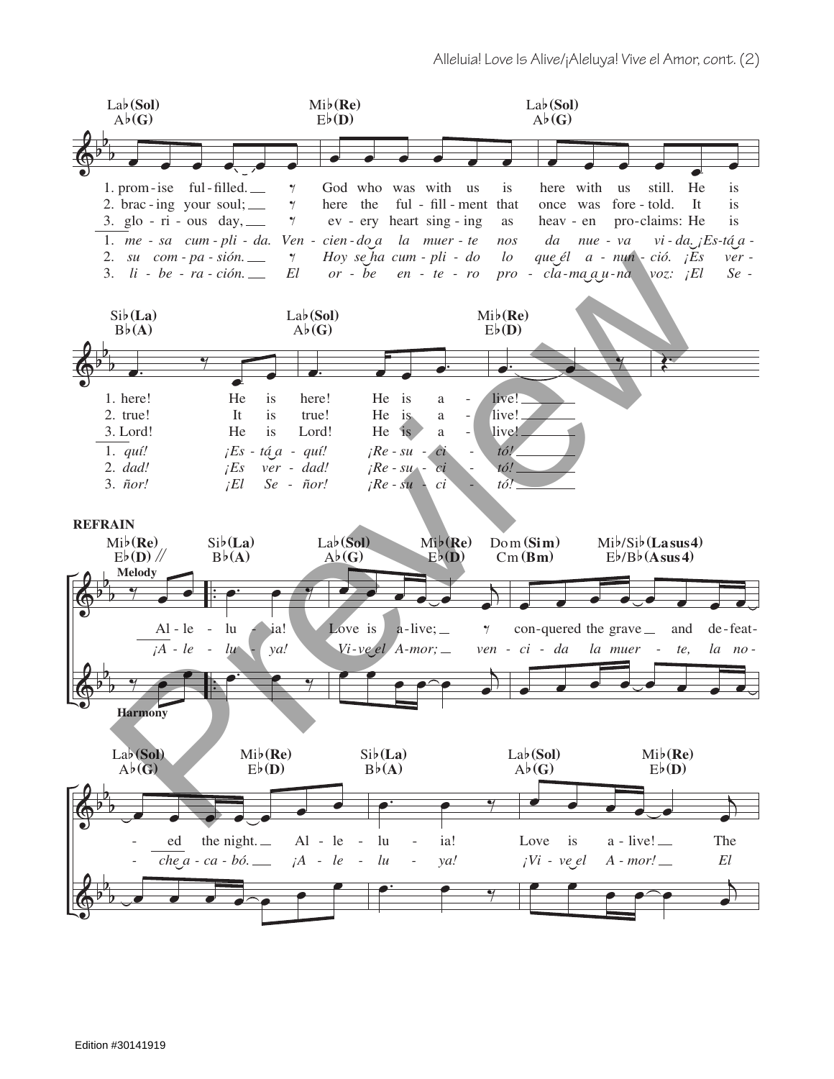